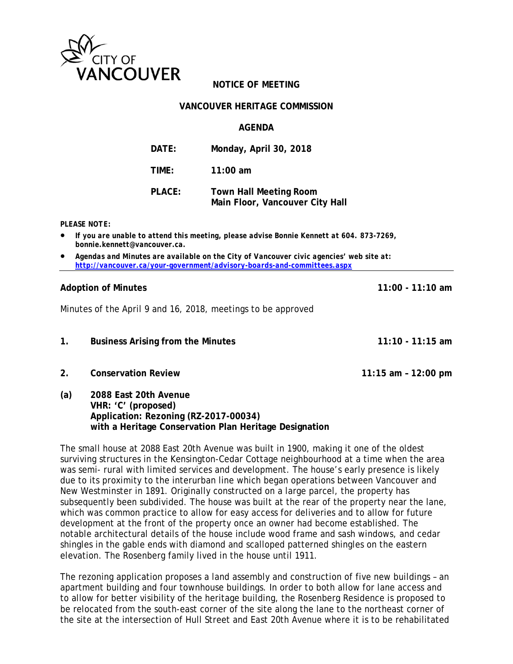

# **NOTICE OF MEETING**

### **VANCOUVER HERITAGE COMMISSION**

## **AGENDA**

| DATE:  | Monday, April 30, 2018                                           |
|--------|------------------------------------------------------------------|
| TIME:  | $11:00$ am                                                       |
| PLACE: | <b>Town Hall Meeting Room</b><br>Main Floor, Vancouver City Hall |

#### *PLEASE NOTE:*

- *If you are unable to attend this meeting, please advise Bonnie Kennett at 604. 873-7269, bonnie.kennett@vancouver.ca.*
- *Agendas and Minutes are available on the City of Vancouver civic agencies' web site at: http://vancouver.ca/your-government/advisory-boards-and-committees.aspx*

## **Adoption of Minutes 11:00 - 11:10 am**

Minutes of the April 9 and 16, 2018, meetings to be approved

- **1. Business Arising from the Minutes 11:10 11:15 am**
- **2. Conservation Review 11:15 am 12:00 pm**
- **(a) 2088 East 20th Avenue VHR: 'C' (proposed) Application: Rezoning (RZ-2017-00034) with a Heritage Conservation Plan Heritage Designation**

The small house at 2088 East 20th Avenue was built in 1900, making it one of the oldest surviving structures in the Kensington-Cedar Cottage neighbourhood at a time when the area was semi- rural with limited services and development. The house's early presence is likely due to its proximity to the interurban line which began operations between Vancouver and New Westminster in 1891. Originally constructed on a large parcel, the property has subsequently been subdivided. The house was built at the rear of the property near the lane, which was common practice to allow for easy access for deliveries and to allow for future development at the front of the property once an owner had become established. The notable architectural details of the house include wood frame and sash windows, and cedar shingles in the gable ends with diamond and scalloped patterned shingles on the eastern elevation. The Rosenberg family lived in the house until 1911.

The rezoning application proposes a land assembly and construction of five new buildings – an apartment building and four townhouse buildings. In order to both allow for lane access and to allow for better visibility of the heritage building, the Rosenberg Residence is proposed to be relocated from the south-east corner of the site along the lane to the northeast corner of the site at the intersection of Hull Street and East 20th Avenue where it is to be rehabilitated